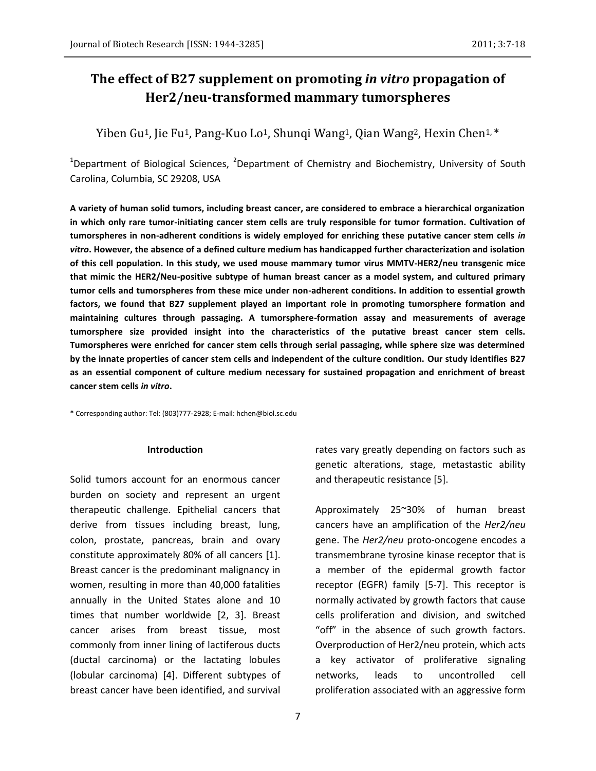# **The effect of B27 supplement on promoting** *in vitro* **propagation of Her2/neu-transformed mammary tumorspheres**

Yiben Gu<sup>1</sup>, Jie Fu<sup>1</sup>, Pang-Kuo Lo<sup>1</sup>, Shungi Wang<sup>1</sup>, Qian Wang<sup>2</sup>, Hexin Chen<sup>1,\*</sup>

<sup>1</sup>Department of Biological Sciences, <sup>2</sup>Department of Chemistry and Biochemistry, University of South Carolina, Columbia, SC 29208, USA

**A variety of human solid tumors, including breast cancer, are considered to embrace a hierarchical organization in which only rare tumor-initiating cancer stem cells are truly responsible for tumor formation. Cultivation of tumorspheres in non-adherent conditions is widely employed for enriching these putative cancer stem cells** *in vitro***. However, the absence of a defined culture medium has handicapped further characterization and isolation of this cell population. In this study, we used mouse mammary tumor virus MMTV-HER2/neu transgenic mice that mimic the HER2/Neu-positive subtype of human breast cancer as a model system, and cultured primary tumor cells and tumorspheres from these mice under non-adherent conditions. In addition to essential growth factors, we found that B27 supplement played an important role in promoting tumorsphere formation and maintaining cultures through passaging. A tumorsphere-formation assay and measurements of average tumorsphere size provided insight into the characteristics of the putative breast cancer stem cells. Tumorspheres were enriched for cancer stem cells through serial passaging, while sphere size was determined by the innate properties of cancer stem cells and independent of the culture condition. Our study identifies B27 as an essential component of culture medium necessary for sustained propagation and enrichment of breast cancer stem cells** *in vitro***.**

\* Corresponding author: Tel: (803)777-2928; E-mail: hchen@biol.sc.edu

#### **Introduction**

Solid tumors account for an enormous cancer burden on society and represent an urgent therapeutic challenge. Epithelial cancers that derive from tissues including breast, lung, colon, prostate, pancreas, brain and ovary constitute approximately 80% of all cancers [1]. Breast cancer is the predominant malignancy in women, resulting in more than 40,000 fatalities annually in the United States alone and 10 times that number worldwide [2, 3]. Breast cancer arises from breast tissue, most commonly from inner lining of lactiferous ducts (ductal carcinoma) or the lactating lobules (lobular carcinoma) [4]. Different subtypes of breast cancer have been identified, and survival

rates vary greatly depending on factors such as genetic alterations, stage, metastastic ability and therapeutic resistance [5].

Approximately 25~30% of human breast cancers have an amplification of the *Her2/neu* gene. The *Her2/neu* proto-oncogene encodes a transmembrane tyrosine kinase receptor that is a member of the epidermal growth factor receptor (EGFR) family [5-7]. This receptor is normally activated by growth factors that cause cells proliferation and division, and switched "off" in the absence of such growth factors. Overproduction of Her2/neu protein, which acts a key activator of proliferative signaling networks, leads to uncontrolled cell proliferation associated with an aggressive form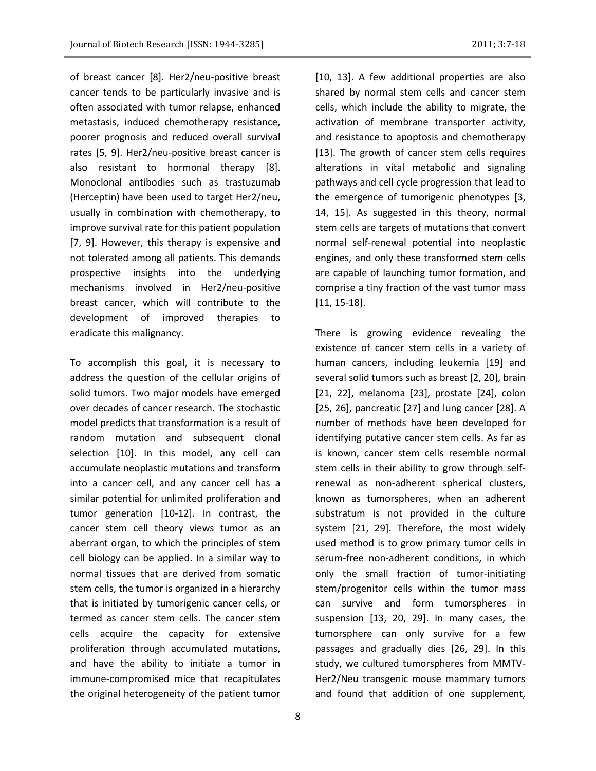of breast cancer [8]. Her2/neu-positive breast cancer tends to be particularly invasive and is often associated with tumor relapse, enhanced metastasis, induced chemotherapy resistance, poorer prognosis and reduced overall survival rates [5, 9]. Her2/neu-positive breast cancer is also resistant to hormonal therapy [8]. Monoclonal antibodies such as trastuzumab (Herceptin) have been used to target Her2/neu, usually in combination with chemotherapy, to improve survival rate for this patient population [7, 9]. However, this therapy is expensive and not tolerated among all patients. This demands prospective insights into the underlying mechanisms involved in Her2/neu-positive breast cancer, which will contribute to the development of improved therapies to eradicate this malignancy.

To accomplish this goal, it is necessary to address the question of the cellular origins of solid tumors. Two major models have emerged over decades of cancer research. The stochastic model predicts that transformation is a result of random mutation and subsequent clonal selection [10]. In this model, any cell can accumulate neoplastic mutations and transform into a cancer cell, and any cancer cell has a similar potential for unlimited proliferation and tumor generation [10-12]. In contrast, the cancer stem cell theory views tumor as an aberrant organ, to which the principles of stem cell biology can be applied. In a similar way to normal tissues that are derived from somatic stem cells, the tumor is organized in a hierarchy that is initiated by tumorigenic cancer cells, or termed as cancer stem cells. The cancer stem cells acquire the capacity for extensive proliferation through accumulated mutations, and have the ability to initiate a tumor in immune-compromised mice that recapitulates the original heterogeneity of the patient tumor

[10, 13]. A few additional properties are also shared by normal stem cells and cancer stem cells, which include the ability to migrate, the activation of membrane transporter activity, and resistance to apoptosis and chemotherapy [13]. The growth of cancer stem cells requires alterations in vital metabolic and signaling pathways and cell cycle progression that lead to the emergence of tumorigenic phenotypes [3, 14, 15]. As suggested in this theory, normal stem cells are targets of mutations that convert normal self-renewal potential into neoplastic engines, and only these transformed stem cells are capable of launching tumor formation, and comprise a tiny fraction of the vast tumor mass [11, 15-18].

There is growing evidence revealing the existence of cancer stem cells in a variety of human cancers, including leukemia [19] and several solid tumors such as breast [2, 20], brain [21, 22], melanoma [23], prostate [24], colon [25, 26], pancreatic [27] and lung cancer [28]. A number of methods have been developed for identifying putative cancer stem cells. As far as is known, cancer stem cells resemble normal stem cells in their ability to grow through selfrenewal as non-adherent spherical clusters, known as tumorspheres, when an adherent substratum is not provided in the culture system [21, 29]. Therefore, the most widely used method is to grow primary tumor cells in serum-free non-adherent conditions, in which only the small fraction of tumor-initiating stem/progenitor cells within the tumor mass can survive and form tumorspheres in suspension [13, 20, 29]. In many cases, the tumorsphere can only survive for a few passages and gradually dies [26, 29]. In this study, we cultured tumorspheres from MMTV-Her2/Neu transgenic mouse mammary tumors and found that addition of one supplement,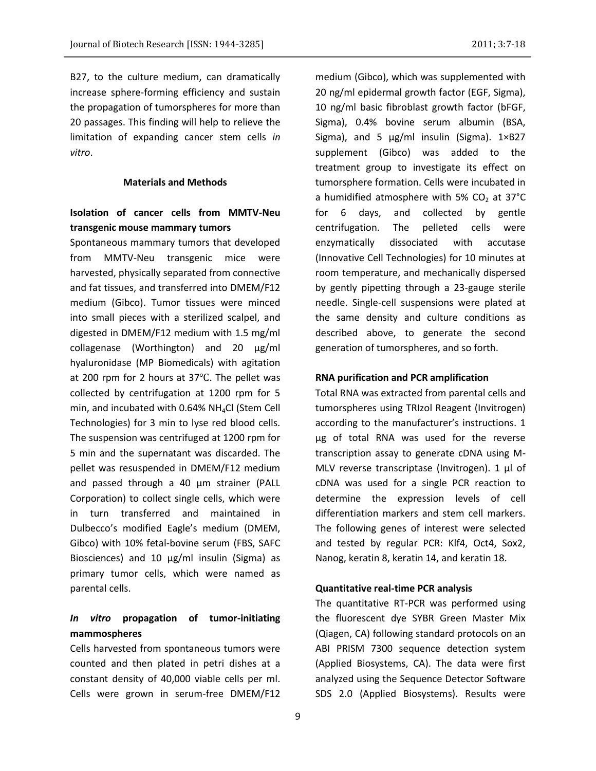B27, to the culture medium, can dramatically increase sphere-forming efficiency and sustain the propagation of tumorspheres for more than 20 passages. This finding will help to relieve the limitation of expanding cancer stem cells *in vitro*.

#### **Materials and Methods**

# **Isolation of cancer cells from MMTV-Neu transgenic mouse mammary tumors**

Spontaneous mammary tumors that developed from MMTV-Neu transgenic mice were harvested, physically separated from connective and fat tissues, and transferred into DMEM/F12 medium (Gibco). Tumor tissues were minced into small pieces with a sterilized scalpel, and digested in DMEM/F12 medium with 1.5 mg/ml collagenase (Worthington) and 20 μg/ml hyaluronidase (MP Biomedicals) with agitation at 200 rpm for 2 hours at 37℃. The pellet was collected by centrifugation at 1200 rpm for 5 min, and incubated with 0.64% NH<sub>4</sub>Cl (Stem Cell Technologies) for 3 min to lyse red blood cells. The suspension was centrifuged at 1200 rpm for 5 min and the supernatant was discarded. The pellet was resuspended in DMEM/F12 medium and passed through a 40 μm strainer (PALL Corporation) to collect single cells, which were in turn transferred and maintained in Dulbecco's modified Eagle's medium (DMEM, Gibco) with 10% fetal-bovine serum (FBS, SAFC Biosciences) and 10 μg/ml insulin (Sigma) as primary tumor cells, which were named as parental cells.

### *In vitro* **propagation of tumor-initiating mammospheres**

Cells harvested from spontaneous tumors were counted and then plated in petri dishes at a constant density of 40,000 viable cells per ml. Cells were grown in serum-free DMEM/F12 medium (Gibco), which was supplemented with 20 ng/ml epidermal growth factor (EGF, Sigma), 10 ng/ml basic fibroblast growth factor (bFGF, Sigma), 0.4% bovine serum albumin (BSA, Sigma), and 5 μg/ml insulin (Sigma). 1×B27 supplement (Gibco) was added to the treatment group to investigate its effect on tumorsphere formation. Cells were incubated in a humidified atmosphere with 5%  $CO<sub>2</sub>$  at 37°C for 6 days, and collected by gentle centrifugation. The pelleted cells were enzymatically dissociated with accutase (Innovative Cell Technologies) for 10 minutes at room temperature, and mechanically dispersed by gently pipetting through a 23-gauge sterile needle. Single-cell suspensions were plated at the same density and culture conditions as described above, to generate the second generation of tumorspheres, and so forth.

#### **RNA purification and PCR amplification**

Total RNA was extracted from parental cells and tumorspheres using TRIzol Reagent (Invitrogen) according to the manufacturer's instructions. 1 μg of total RNA was used for the reverse transcription assay to generate cDNA using M-MLV reverse transcriptase (Invitrogen). 1 μl of cDNA was used for a single PCR reaction to determine the expression levels of cell differentiation markers and stem cell markers. The following genes of interest were selected and tested by regular PCR: Klf4, Oct4, Sox2, Nanog, keratin 8, keratin 14, and keratin 18.

#### **Quantitative real-time PCR analysis**

The quantitative RT-PCR was performed using the fluorescent dye SYBR Green Master Mix (Qiagen, CA) following standard protocols on an ABI PRISM 7300 sequence detection system (Applied Biosystems, CA). The data were first analyzed using the Sequence Detector Software SDS 2.0 (Applied Biosystems). Results were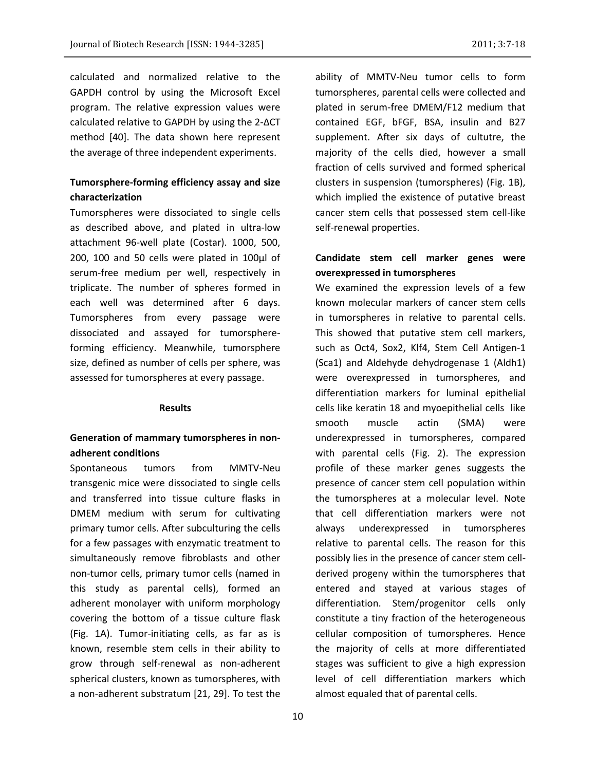calculated and normalized relative to the GAPDH control by using the Microsoft Excel program. The relative expression values were calculated relative to GAPDH by using the 2-ΔCT method [40]. The data shown here represent the average of three independent experiments.

# **Tumorsphere-forming efficiency assay and size characterization**

Tumorspheres were dissociated to single cells as described above, and plated in ultra-low attachment 96-well plate (Costar). 1000, 500, 200, 100 and 50 cells were plated in 100μl of serum-free medium per well, respectively in triplicate. The number of spheres formed in each well was determined after 6 days. Tumorspheres from every passage were dissociated and assayed for tumorsphereforming efficiency. Meanwhile, tumorsphere size, defined as number of cells per sphere, was assessed for tumorspheres at every passage.

#### **Results**

### **Generation of mammary tumorspheres in nonadherent conditions**

Spontaneous tumors from MMTV-Neu transgenic mice were dissociated to single cells and transferred into tissue culture flasks in DMEM medium with serum for cultivating primary tumor cells. After subculturing the cells for a few passages with enzymatic treatment to simultaneously remove fibroblasts and other non-tumor cells, primary tumor cells (named in this study as parental cells), formed an adherent monolayer with uniform morphology covering the bottom of a tissue culture flask (Fig. 1A). Tumor-initiating cells, as far as is known, resemble stem cells in their ability to grow through self-renewal as non-adherent spherical clusters, known as tumorspheres, with a non-adherent substratum [21, 29]. To test the

ability of MMTV-Neu tumor cells to form tumorspheres, parental cells were collected and plated in serum-free DMEM/F12 medium that contained EGF, bFGF, BSA, insulin and B27 supplement. After six days of cultutre, the majority of the cells died, however a small fraction of cells survived and formed spherical clusters in suspension (tumorspheres) (Fig. 1B), which implied the existence of putative breast cancer stem cells that possessed stem cell-like self-renewal properties.

# **Candidate stem cell marker genes were overexpressed in tumorspheres**

We examined the expression levels of a few known molecular markers of cancer stem cells in tumorspheres in relative to parental cells. This showed that putative stem cell markers, such as Oct4, Sox2, Klf4, Stem Cell Antigen-1 (Sca1) and Aldehyde dehydrogenase 1 (Aldh1) were overexpressed in tumorspheres, and differentiation markers for luminal epithelial cells like keratin 18 and myoepithelial cells like smooth muscle actin (SMA) were underexpressed in tumorspheres, compared with parental cells (Fig. 2). The expression profile of these marker genes suggests the presence of cancer stem cell population within the tumorspheres at a molecular level. Note that cell differentiation markers were not always underexpressed in tumorspheres relative to parental cells. The reason for this possibly lies in the presence of cancer stem cellderived progeny within the tumorspheres that entered and stayed at various stages of differentiation. Stem/progenitor cells only constitute a tiny fraction of the heterogeneous cellular composition of tumorspheres. Hence the majority of cells at more differentiated stages was sufficient to give a high expression level of cell differentiation markers which almost equaled that of parental cells.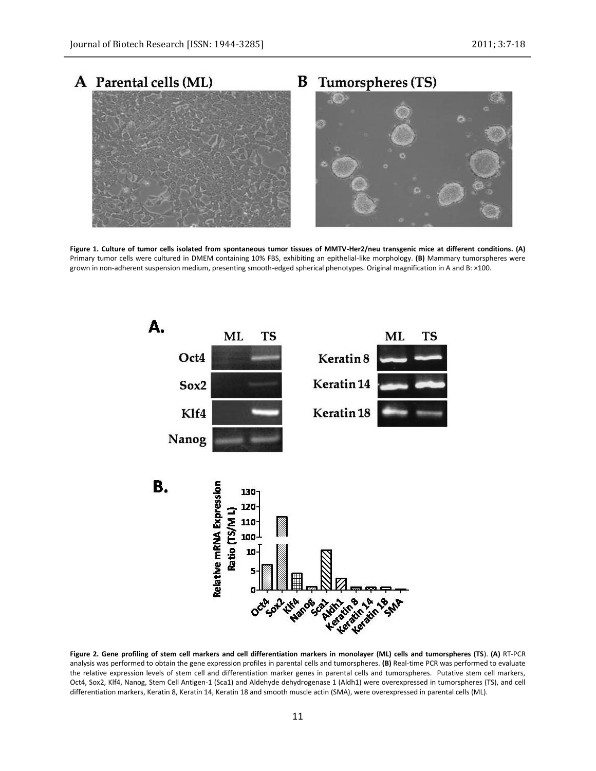

**Figure 1. Culture of tumor cells isolated from spontaneous tumor tissues of MMTV-Her2/neu transgenic mice at different conditions. (A)** Primary tumor cells were cultured in DMEM containing 10% FBS, exhibiting an epithelial-like morphology. **(B)** Mammary tumorspheres were grown in non-adherent suspension medium, presenting smooth-edged spherical phenotypes. Original magnification in A and B: ×100.



**Figure 2. Gene profiling of stem cell markers and cell differentiation markers in monolayer (ML) cells and tumorspheres (TS**). **(A)** RT-PCR analysis was performed to obtain the gene expression profiles in parental cells and tumorspheres. **(B)** Real-time PCR was performed to evaluate the relative expression levels of stem cell and differentiation marker genes in parental cells and tumorspheres. Putative stem cell markers, Oct4, Sox2, Klf4, Nanog, Stem Cell Antigen-1 (Sca1) and Aldehyde dehydrogenase 1 (Aldh1) were overexpressed in tumorspheres (TS), and cell differentiation markers, Keratin 8, Keratin 14, Keratin 18 and smooth muscle actin (SMA), were overexpressed in parental cells (ML).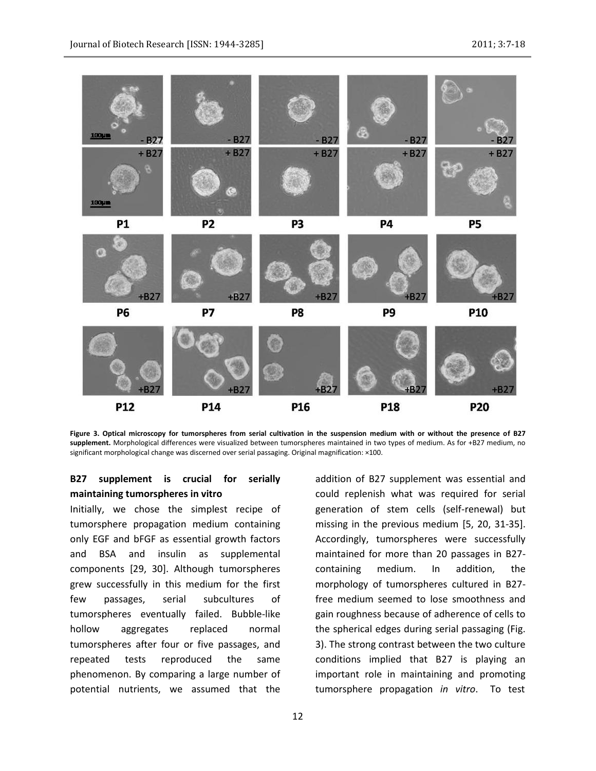

**Figure 3. Optical microscopy for tumorspheres from serial cultivation in the suspension medium with or without the presence of B27 supplement.** Morphological differences were visualized between tumorspheres maintained in two types of medium. As for +B27 medium, no significant morphological change was discerned over serial passaging. Original magnification: ×100.

# **B27 supplement is crucial for serially maintaining tumorspheres in vitro**

Initially, we chose the simplest recipe of tumorsphere propagation medium containing only EGF and bFGF as essential growth factors and BSA and insulin as supplemental components [29, 30]. Although tumorspheres grew successfully in this medium for the first few passages, serial subcultures of tumorspheres eventually failed. Bubble-like hollow aggregates replaced normal tumorspheres after four or five passages, and repeated tests reproduced the same phenomenon. By comparing a large number of potential nutrients, we assumed that the

addition of B27 supplement was essential and could replenish what was required for serial generation of stem cells (self-renewal) but missing in the previous medium [5, 20, 31-35]. Accordingly, tumorspheres were successfully maintained for more than 20 passages in B27 containing medium. In addition, the morphology of tumorspheres cultured in B27 free medium seemed to lose smoothness and gain roughness because of adherence of cells to the spherical edges during serial passaging (Fig. 3). The strong contrast between the two culture conditions implied that B27 is playing an important role in maintaining and promoting tumorsphere propagation *in vitro*. To test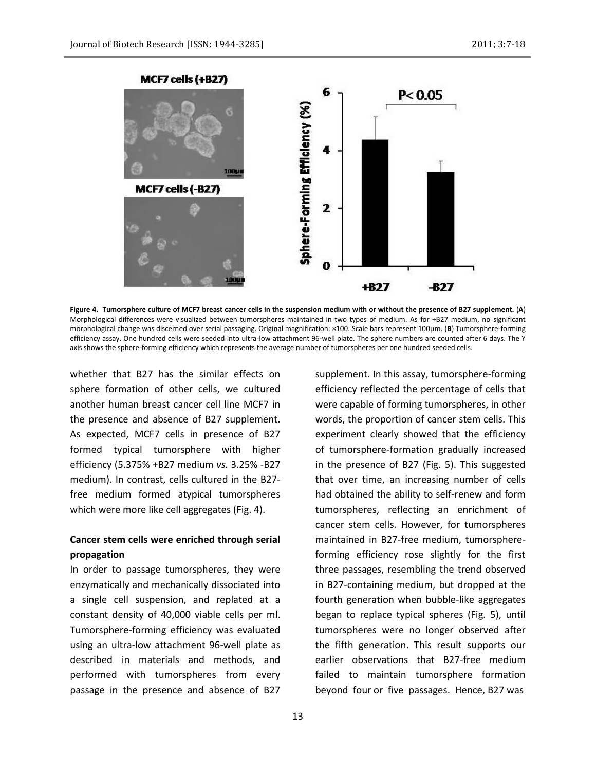

**Figure 4. Tumorsphere culture of MCF7 breast cancer cells in the suspension medium with or without the presence of B27 supplement.** (**A**) Morphological differences were visualized between tumorspheres maintained in two types of medium. As for +B27 medium, no significant morphological change was discerned over serial passaging. Original magnification: ×100. Scale bars represent 100µm. (**B**) Tumorsphere-forming efficiency assay. One hundred cells were seeded into ultra-low attachment 96-well plate. The sphere numbers are counted after 6 days. The Y axis shows the sphere-forming efficiency which represents the average number of tumorspheres per one hundred seeded cells.

whether that B27 has the similar effects on sphere formation of other cells, we cultured another human breast cancer cell line MCF7 in the presence and absence of B27 supplement. As expected, MCF7 cells in presence of B27 formed typical tumorsphere with higher efficiency (5.375% +B27 medium *vs.* 3.25% -B27 medium). In contrast, cells cultured in the B27 free medium formed atypical tumorspheres which were more like cell aggregates (Fig. 4).

# **Cancer stem cells were enriched through serial propagation**

In order to passage tumorspheres, they were enzymatically and mechanically dissociated into a single cell suspension, and replated at a constant density of 40,000 viable cells per ml. Tumorsphere-forming efficiency was evaluated using an ultra-low attachment 96-well plate as described in materials and methods, and performed with tumorspheres from every passage in the presence and absence of B27 efficiency reflected the percentage of cells that were capable of forming tumorspheres, in other words, the proportion of cancer stem cells. This experiment clearly showed that the efficiency of tumorsphere-formation gradually increased in the presence of B27 (Fig. 5). This suggested that over time, an increasing number of cells had obtained the ability to self-renew and form tumorspheres, reflecting an enrichment of cancer stem cells. However, for tumorspheres maintained in B27-free medium, tumorsphereforming efficiency rose slightly for the first three passages, resembling the trend observed in B27-containing medium, but dropped at the fourth generation when bubble-like aggregates began to replace typical spheres (Fig. 5), until tumorspheres were no longer observed after the fifth generation. This result supports our earlier observations that B27-free medium failed to maintain tumorsphere formation beyond four or five passages. Hence, B27 was

supplement. In this assay, tumorsphere-forming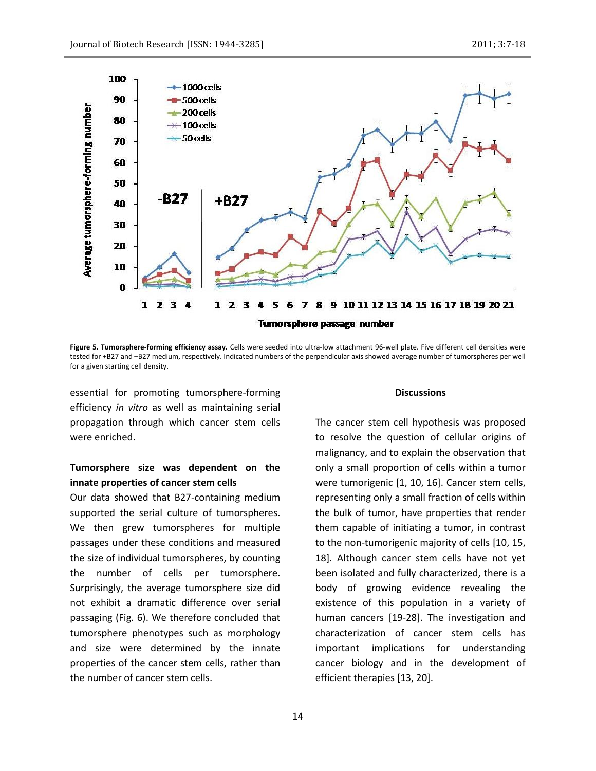

**Figure 5. Tumorsphere-forming efficiency assay.** Cells were seeded into ultra-low attachment 96-well plate. Five different cell densities were tested for +B27 and –B27 medium, respectively. Indicated numbers of the perpendicular axis showed average number of tumorspheres per well for a given starting cell density.

essential for promoting tumorsphere-forming efficiency *in vitro* as well as maintaining serial propagation through which cancer stem cells were enriched.

### **Tumorsphere size was dependent on the innate properties of cancer stem cells**

Our data showed that B27-containing medium supported the serial culture of tumorspheres. We then grew tumorspheres for multiple passages under these conditions and measured the size of individual tumorspheres, by counting the number of cells per tumorsphere. Surprisingly, the average tumorsphere size did not exhibit a dramatic difference over serial passaging (Fig. 6). We therefore concluded that tumorsphere phenotypes such as morphology and size were determined by the innate properties of the cancer stem cells, rather than the number of cancer stem cells.

#### **Discussions**

The cancer stem cell hypothesis was proposed to resolve the question of cellular origins of malignancy, and to explain the observation that only a small proportion of cells within a tumor were tumorigenic [1, 10, 16]. Cancer stem cells, representing only a small fraction of cells within the bulk of tumor, have properties that render them capable of initiating a tumor, in contrast to the non-tumorigenic majority of cells [10, 15, 18]. Although cancer stem cells have not yet been isolated and fully characterized, there is a body of growing evidence revealing the existence of this population in a variety of human cancers [19-28]. The investigation and characterization of cancer stem cells has important implications for understanding cancer biology and in the development of efficient therapies [13, 20].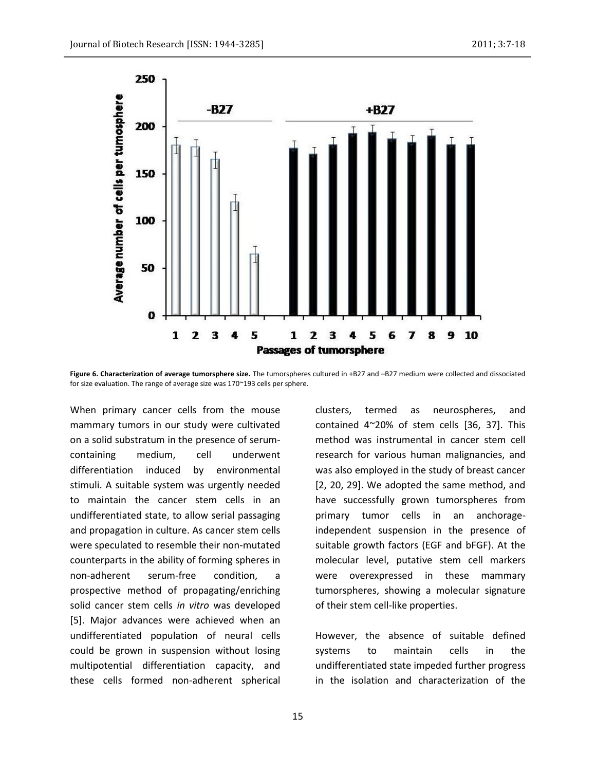

**Figure 6. Characterization of average tumorsphere size.** The tumorspheres cultured in +B27 and –B27 medium were collected and dissociated for size evaluation. The range of average size was 170~193 cells per sphere.

When primary cancer cells from the mouse mammary tumors in our study were cultivated on a solid substratum in the presence of serumcontaining medium, cell underwent differentiation induced by environmental stimuli. A suitable system was urgently needed to maintain the cancer stem cells in an undifferentiated state, to allow serial passaging and propagation in culture. As cancer stem cells were speculated to resemble their non-mutated counterparts in the ability of forming spheres in non-adherent serum-free condition. prospective method of propagating/enriching solid cancer stem cells *in vitro* was developed [5]. Major advances were achieved when an undifferentiated population of neural cells could be grown in suspension without losing multipotential differentiation capacity, and these cells formed non-adherent spherical clusters, termed as neurospheres, and contained 4~20% of stem cells [36, 37]. This method was instrumental in cancer stem cell research for various human malignancies, and was also employed in the study of breast cancer [2, 20, 29]. We adopted the same method, and have successfully grown tumorspheres from primary tumor cells in an anchorageindependent suspension in the presence of suitable growth factors (EGF and bFGF). At the molecular level, putative stem cell markers were overexpressed in these mammary tumorspheres, showing a molecular signature of their stem cell-like properties.

However, the absence of suitable defined systems to maintain cells in the undifferentiated state impeded further progress in the isolation and characterization of the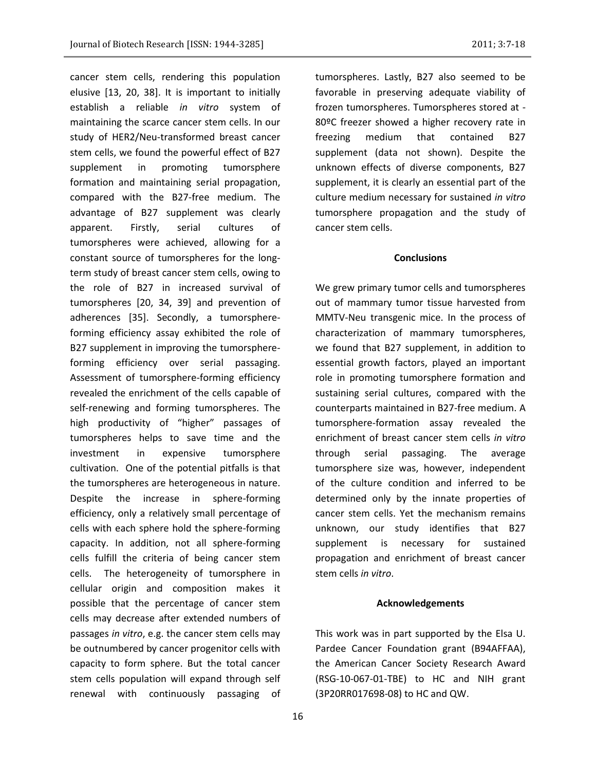cancer stem cells, rendering this population elusive [13, 20, 38]. It is important to initially establish a reliable *in vitro* system of maintaining the scarce cancer stem cells. In our study of HER2/Neu-transformed breast cancer stem cells, we found the powerful effect of B27 supplement in promoting tumorsphere formation and maintaining serial propagation, compared with the B27-free medium. The advantage of B27 supplement was clearly apparent. Firstly, serial cultures of tumorspheres were achieved, allowing for a constant source of tumorspheres for the longterm study of breast cancer stem cells, owing to the role of B27 in increased survival of tumorspheres [20, 34, 39] and prevention of adherences [35]. Secondly, a tumorsphereforming efficiency assay exhibited the role of B27 supplement in improving the tumorsphereforming efficiency over serial passaging. Assessment of tumorsphere-forming efficiency revealed the enrichment of the cells capable of self-renewing and forming tumorspheres. The high productivity of "higher" passages of tumorspheres helps to save time and the investment in expensive tumorsphere cultivation. One of the potential pitfalls is that the tumorspheres are heterogeneous in nature. Despite the increase in sphere-forming efficiency, only a relatively small percentage of cells with each sphere hold the sphere-forming capacity. In addition, not all sphere-forming cells fulfill the criteria of being cancer stem cells. The heterogeneity of tumorsphere in cellular origin and composition makes it possible that the percentage of cancer stem cells may decrease after extended numbers of passages *in vitro*, e.g. the cancer stem cells may be outnumbered by cancer progenitor cells with capacity to form sphere. But the total cancer stem cells population will expand through self renewal with continuously passaging of

tumorspheres. Lastly, B27 also seemed to be favorable in preserving adequate viability of frozen tumorspheres. Tumorspheres stored at - 80ºC freezer showed a higher recovery rate in freezing medium that contained B27 supplement (data not shown). Despite the unknown effects of diverse components, B27 supplement, it is clearly an essential part of the culture medium necessary for sustained *in vitro* tumorsphere propagation and the study of cancer stem cells.

### **Conclusions**

We grew primary tumor cells and tumorspheres out of mammary tumor tissue harvested from MMTV-Neu transgenic mice. In the process of characterization of mammary tumorspheres, we found that B27 supplement, in addition to essential growth factors, played an important role in promoting tumorsphere formation and sustaining serial cultures, compared with the counterparts maintained in B27-free medium. A tumorsphere-formation assay revealed the enrichment of breast cancer stem cells *in vitro* through serial passaging. The average tumorsphere size was, however, independent of the culture condition and inferred to be determined only by the innate properties of cancer stem cells. Yet the mechanism remains unknown, our study identifies that B27 supplement is necessary for sustained propagation and enrichment of breast cancer stem cells *in vitro*.

#### **Acknowledgements**

This work was in part supported by the Elsa U. Pardee Cancer Foundation grant (B94AFFAA), the American Cancer Society Research Award (RSG-10-067-01-TBE) to HC and NIH grant (3P20RR017698-08) to HC and QW.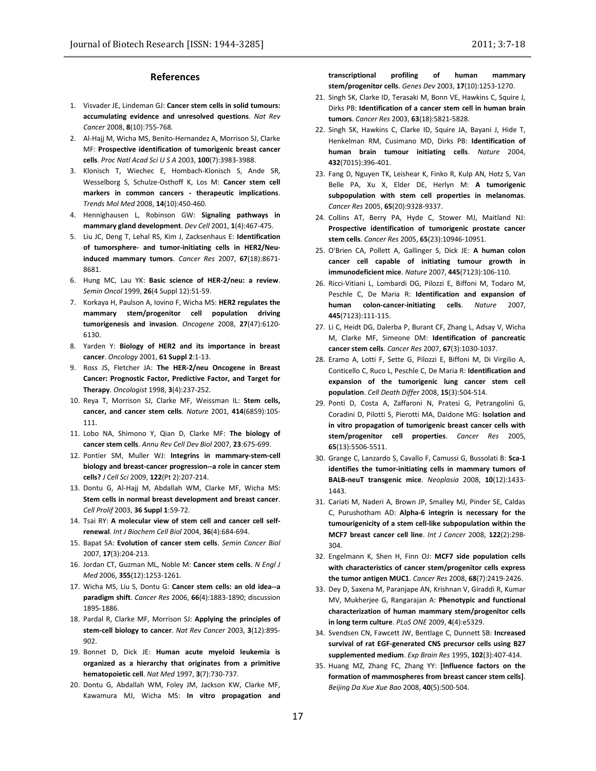#### **References**

- 1. Visvader JE, Lindeman GJ: **Cancer stem cells in solid tumours: accumulating evidence and unresolved questions**. *Nat Rev Cancer* 2008, **8**(10):755-768.
- 2. Al-Hajj M, Wicha MS, Benito-Hernandez A, Morrison SJ, Clarke MF: **Prospective identification of tumorigenic breast cancer cells**. *Proc Natl Acad Sci U S A* 2003, **100**(7):3983-3988.
- 3. Klonisch T, Wiechec E, Hombach-Klonisch S, Ande SR, Wesselborg S, Schulze-Osthoff K, Los M: **Cancer stem cell markers in common cancers - therapeutic implications**. *Trends Mol Med* 2008, **14**(10):450-460.
- 4. Hennighausen L, Robinson GW: **Signaling pathways in mammary gland development**. *Dev Cell* 2001, **1**(4):467-475.
- 5. Liu JC, Deng T, Lehal RS, Kim J, Zacksenhaus E: **Identification of tumorsphere- and tumor-initiating cells in HER2/Neuinduced mammary tumors**. *Cancer Res* 2007, **67**(18):8671- 8681.
- 6. Hung MC, Lau YK: **Basic science of HER-2/neu: a review**. *Semin Oncol* 1999, **26**(4 Suppl 12):51-59.
- 7. Korkaya H, Paulson A, Iovino F, Wicha MS: **HER2 regulates the mammary stem/progenitor cell population driving tumorigenesis and invasion**. *Oncogene* 2008, **27**(47):6120- 6130.
- 8. Yarden Y: **Biology of HER2 and its importance in breast cancer**. *Oncology* 2001, **61 Suppl 2**:1-13.
- 9. Ross JS, Fletcher JA: **The HER-2/neu Oncogene in Breast Cancer: Prognostic Factor, Predictive Factor, and Target for Therapy**. *Oncologist* 1998, **3**(4):237-252.
- 10. Reya T, Morrison SJ, Clarke MF, Weissman IL: **Stem cells, cancer, and cancer stem cells**. *Nature* 2001, **414**(6859):105- 111.
- 11. Lobo NA, Shimono Y, Qian D, Clarke MF: **The biology of cancer stem cells**. *Annu Rev Cell Dev Biol* 2007, **23**:675-699.
- 12. Pontier SM, Muller WJ: **Integrins in mammary-stem-cell biology and breast-cancer progression--a role in cancer stem cells?** *J Cell Sci* 2009, **122**(Pt 2):207-214.
- 13. Dontu G, Al-Hajj M, Abdallah WM, Clarke MF, Wicha MS: **Stem cells in normal breast development and breast cancer**. *Cell Prolif* 2003, **36 Suppl 1**:59-72.
- 14. Tsai RY: **A molecular view of stem cell and cancer cell selfrenewal**. *Int J Biochem Cell Biol* 2004, **36**(4):684-694.
- 15. Bapat SA: **Evolution of cancer stem cells**. *Semin Cancer Biol*  2007, **17**(3):204-213.
- 16. Jordan CT, Guzman ML, Noble M: **Cancer stem cells**. *N Engl J Med* 2006, **355**(12):1253-1261.
- 17. Wicha MS, Liu S, Dontu G: **Cancer stem cells: an old idea--a paradigm shift**. *Cancer Res* 2006, **66**(4):1883-1890; discussion 1895-1886.
- 18. Pardal R, Clarke MF, Morrison SJ: **Applying the principles of stem-cell biology to cancer**. *Nat Rev Cancer* 2003, **3**(12):895- 902.
- 19. Bonnet D, Dick JE: **Human acute myeloid leukemia is organized as a hierarchy that originates from a primitive hematopoietic cell**. *Nat Med* 1997, **3**(7):730-737.
- 20. Dontu G, Abdallah WM, Foley JM, Jackson KW, Clarke MF, Kawamura MJ, Wicha MS: **In vitro propagation and**

**transcriptional profiling of human mammary stem/progenitor cells**. *Genes Dev* 2003, **17**(10):1253-1270.

- 21. Singh SK, Clarke ID, Terasaki M, Bonn VE, Hawkins C, Squire J, Dirks PB: **Identification of a cancer stem cell in human brain tumors**. *Cancer Res* 2003, **63**(18):5821-5828.
- 22. Singh SK, Hawkins C, Clarke ID, Squire JA, Bayani J, Hide T, Henkelman RM, Cusimano MD, Dirks PB: **Identification of human brain tumour initiating cells**. *Nature* 2004, **432**(7015):396-401.
- 23. Fang D, Nguyen TK, Leishear K, Finko R, Kulp AN, Hotz S, Van Belle PA, Xu X, Elder DE, Herlyn M: **A tumorigenic subpopulation with stem cell properties in melanomas**. *Cancer Res* 2005, **65**(20):9328-9337.
- 24. Collins AT, Berry PA, Hyde C, Stower MJ, Maitland NJ: **Prospective identification of tumorigenic prostate cancer stem cells**. *Cancer Res* 2005, **65**(23):10946-10951.
- 25. O'Brien CA, Pollett A, Gallinger S, Dick JE: **A human colon cancer cell capable of initiating tumour growth in immunodeficient mice**. *Nature* 2007, **445**(7123):106-110.
- 26. Ricci-Vitiani L, Lombardi DG, Pilozzi E, Biffoni M, Todaro M, Peschle C, De Maria R: **Identification and expansion of human colon-cancer-initiating cells**. *Nature* 2007, **445**(7123):111-115.
- 27. Li C, Heidt DG, Dalerba P, Burant CF, Zhang L, Adsay V, Wicha M, Clarke MF, Simeone DM: **Identification of pancreatic cancer stem cells**. *Cancer Res* 2007, **67**(3):1030-1037.
- 28. Eramo A, Lotti F, Sette G, Pilozzi E, Biffoni M, Di Virgilio A, Conticello C, Ruco L, Peschle C, De Maria R: **Identification and expansion of the tumorigenic lung cancer stem cell population**. *Cell Death Differ* 2008, **15**(3):504-514.
- 29. Ponti D, Costa A, Zaffaroni N, Pratesi G, Petrangolini G, Coradini D, Pilotti S, Pierotti MA, Daidone MG: **Isolation and in vitro propagation of tumorigenic breast cancer cells with stem/progenitor cell properties**. *Cancer Res* 2005, **65**(13):5506-5511.
- 30. Grange C, Lanzardo S, Cavallo F, Camussi G, Bussolati B: **Sca-1 identifies the tumor-initiating cells in mammary tumors of BALB-neuT transgenic mice**. *Neoplasia* 2008, **10**(12):1433- 1443.
- 31. Cariati M, Naderi A, Brown JP, Smalley MJ, Pinder SE, Caldas C, Purushotham AD: **Alpha-6 integrin is necessary for the tumourigenicity of a stem cell-like subpopulation within the MCF7 breast cancer cell line**. *Int J Cancer* 2008, **122**(2):298- 304.
- 32. Engelmann K, Shen H, Finn OJ: **MCF7 side population cells with characteristics of cancer stem/progenitor cells express the tumor antigen MUC1**. *Cancer Res* 2008, **68**(7):2419-2426.
- 33. Dey D, Saxena M, Paranjape AN, Krishnan V, Giraddi R, Kumar MV, Mukherjee G, Rangarajan A: **Phenotypic and functional characterization of human mammary stem/progenitor cells in long term culture**. *PLoS ONE* 2009, **4**(4):e5329.
- 34. Svendsen CN, Fawcett JW, Bentlage C, Dunnett SB: **Increased survival of rat EGF-generated CNS precursor cells using B27 supplemented medium**. *Exp Brain Res* 1995, **102**(3):407-414.
- 35. Huang MZ, Zhang FC, Zhang YY: **[Influence factors on the formation of mammospheres from breast cancer stem cells]**. *Beijing Da Xue Xue Bao* 2008, **40**(5):500-504.